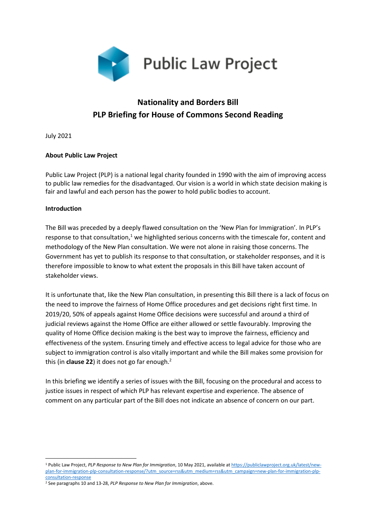

# **Nationality and Borders Bill PLP Briefing for House of Commons Second Reading**

July 2021

# **About Public Law Project**

Public Law Project (PLP) is a national legal charity founded in 1990 with the aim of improving access to public law remedies for the disadvantaged. Our vision is a world in which state decision making is fair and lawful and each person has the power to hold public bodies to account.

#### **Introduction**

The Bill was preceded by a deeply flawed consultation on the 'New Plan for Immigration'. In PLP's response to that consultation,<sup>1</sup> we highlighted serious concerns with the timescale for, content and methodology of the New Plan consultation. We were not alone in raising those concerns. The Government has yet to publish its response to that consultation, or stakeholder responses, and it is therefore impossible to know to what extent the proposals in this Bill have taken account of stakeholder views.

It is unfortunate that, like the New Plan consultation, in presenting this Bill there is a lack of focus on the need to improve the fairness of Home Office procedures and get decisions right first time. In 2019/20, 50% of appeals against Home Office decisions were successful and around a third of judicial reviews against the Home Office are either allowed or settle favourably. Improving the quality of Home Office decision making is the best way to improve the fairness, efficiency and effectiveness of the system. Ensuring timely and effective access to legal advice for those who are subject to immigration control is also vitally important and while the Bill makes some provision for this (in **clause 22**) it does not go far enough.<sup>2</sup>

In this briefing we identify a series of issues with the Bill, focusing on the procedural and access to justice issues in respect of which PLP has relevant expertise and experience. The absence of comment on any particular part of the Bill does not indicate an absence of concern on our part.

<sup>1</sup> Public Law Project, *PLP Response to New Plan for Immigration*, 10 May 2021, available a[t https://publiclawproject.org.uk/latest/new](https://publiclawproject.org.uk/latest/new-plan-for-immigration-plp-consultation-response/?utm_source=rss&utm_medium=rss&utm_campaign=new-plan-for-immigration-plp-consultation-response)[plan-for-immigration-plp-consultation-response/?utm\\_source=rss&utm\\_medium=rss&utm\\_campaign=new-plan-for-immigration-plp](https://publiclawproject.org.uk/latest/new-plan-for-immigration-plp-consultation-response/?utm_source=rss&utm_medium=rss&utm_campaign=new-plan-for-immigration-plp-consultation-response)[consultation-response](https://publiclawproject.org.uk/latest/new-plan-for-immigration-plp-consultation-response/?utm_source=rss&utm_medium=rss&utm_campaign=new-plan-for-immigration-plp-consultation-response)

<sup>2</sup> See paragraphs 10 and 13-28, *PLP Response to New Plan for Immigration*, above.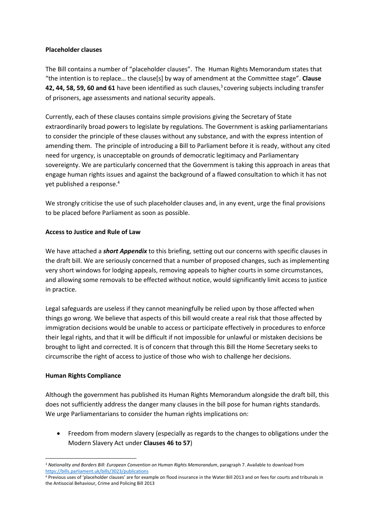#### **Placeholder clauses**

The Bill contains a number of "placeholder clauses". The Human Rights Memorandum states that "the intention is to replace… the clause[s] by way of amendment at the Committee stage". **Clause**  42, 44, 58, 59, 60 and 61 have been identified as such clauses,<sup>3</sup> covering subjects including transfer of prisoners, age assessments and national security appeals.

Currently, each of these clauses contains simple provisions giving the Secretary of State extraordinarily broad powers to legislate by regulations. The Government is asking parliamentarians to consider the principle of these clauses without any substance, and with the express intention of amending them. The principle of introducing a Bill to Parliament before it is ready, without any cited need for urgency, is unacceptable on grounds of democratic legitimacy and Parliamentary sovereignty. We are particularly concerned that the Government is taking this approach in areas that engage human rights issues and against the background of a flawed consultation to which it has not yet published a response. 4

We strongly criticise the use of such placeholder clauses and, in any event, urge the final provisions to be placed before Parliament as soon as possible.

# **Access to Justice and Rule of Law**

We have attached a *short Appendix* to this briefing, setting out our concerns with specific clauses in the draft bill. We are seriously concerned that a number of proposed changes, such as implementing very short windows for lodging appeals, removing appeals to higher courts in some circumstances, and allowing some removals to be effected without notice, would significantly limit access to justice in practice.

Legal safeguards are useless if they cannot meaningfully be relied upon by those affected when things go wrong. We believe that aspects of this bill would create a real risk that those affected by immigration decisions would be unable to access or participate effectively in procedures to enforce their legal rights, and that it will be difficult if not impossible for unlawful or mistaken decisions be brought to light and corrected. It is of concern that through this Bill the Home Secretary seeks to circumscribe the right of access to justice of those who wish to challenge her decisions.

#### **Human Rights Compliance**

Although the government has published its Human Rights Memorandum alongside the draft bill, this does not sufficiently address the danger many clauses in the bill pose for human rights standards. We urge Parliamentarians to consider the human rights implications on:

• Freedom from modern slavery (especially as regards to the changes to obligations under the Modern Slavery Act under **Clauses 46 to 57**)

<sup>3</sup> *Nationality and Borders Bill: European Convention on Human Rights Memorandum*, paragraph 7. Available to download from <https://bills.parliament.uk/bills/3023/publications>

<sup>4</sup> Previous uses of 'placeholder clauses' are for example on flood insurance in the Water Bill 2013 and on fees for courts and tribunals in the Antisocial Behaviour, Crime and Policing Bill 2013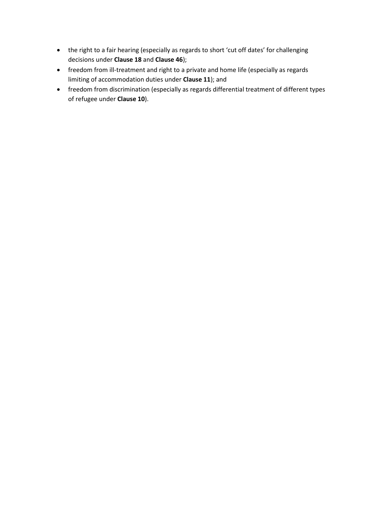- the right to a fair hearing (especially as regards to short 'cut off dates' for challenging decisions under **Clause 18** and **Clause 46**);
- freedom from ill-treatment and right to a private and home life (especially as regards limiting of accommodation duties under **Clause 11**); and
- freedom from discrimination (especially as regards differential treatment of different types of refugee under **Clause 10**).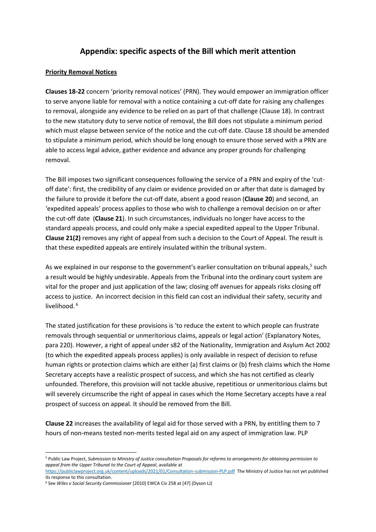# **Appendix: specific aspects of the Bill which merit attention**

#### **Priority Removal Notices**

**Clauses 18-22** concern 'priority removal notices' (PRN). They would empower an immigration officer to serve anyone liable for removal with a notice containing a cut-off date for raising any challenges to removal, alongside any evidence to be relied on as part of that challenge (Clause 18). In contrast to the new statutory duty to serve notice of removal, the Bill does not stipulate a minimum period which must elapse between service of the notice and the cut-off date. Clause 18 should be amended to stipulate a minimum period, which should be long enough to ensure those served with a PRN are able to access legal advice, gather evidence and advance any proper grounds for challenging removal.

The Bill imposes two significant consequences following the service of a PRN and expiry of the 'cutoff date': first, the credibility of any claim or evidence provided on or after that date is damaged by the failure to provide it before the cut-off date, absent a good reason (**Clause 20**) and second, an 'expedited appeals' process applies to those who wish to challenge a removal decision on or after the cut-off date (**Clause 21**). In such circumstances, individuals no longer have access to the standard appeals process, and could only make a special expedited appeal to the Upper Tribunal. **Clause 21(2)** removes any right of appeal from such a decision to the Court of Appeal. The result is that these expedited appeals are entirely insulated within the tribunal system.

As we explained in our response to the government's earlier consultation on tribunal appeals,<sup>5</sup> such a result would be highly undesirable. Appeals from the Tribunal into the ordinary court system are vital for the proper and just application of the law; closing off avenues for appeals risks closing off access to justice. An incorrect decision in this field can cost an individual their safety, security and livelihood.<sup>6</sup>

The stated justification for these provisions is 'to reduce the extent to which people can frustrate removals through sequential or unmeritorious claims, appeals or legal action' (Explanatory Notes, para 220). However, a right of appeal under s82 of the Nationality, Immigration and Asylum Act 2002 (to which the expedited appeals process applies) is only available in respect of decision to refuse human rights or protection claims which are either (a) first claims or (b) fresh claims which the Home Secretary accepts have a realistic prospect of success, and which she has not certified as clearly unfounded. Therefore, this provision will not tackle abusive, repetitious or unmeritorious claims but will severely circumscribe the right of appeal in cases which the Home Secretary accepts have a real prospect of success on appeal. It should be removed from the Bill.

**Clause 22** increases the availability of legal aid for those served with a PRN, by entitling them to 7 hours of non-means tested non-merits tested legal aid on any aspect of immigration law. PLP

<sup>5</sup> Public Law Project, *Submission to Ministry of Justice consultation Proposals for reforms to arrangements for obtaining permission to appeal from the Upper Tribunal to the Court of Appeal*, available at

<https://publiclawproject.org.uk/content/uploads/2021/01/Consultation-submission-PLP.pdf> The Ministry of Justice has not yet published its response to this consultation.

<sup>6</sup> See *Wiles v Social Security Commissioner* [2010] EWCA Civ 258 at [47] (Dyson LJ)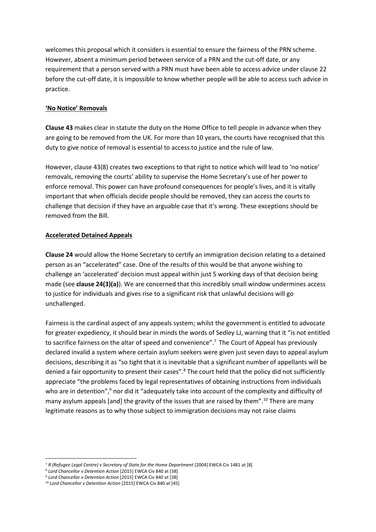welcomes this proposal which it considers is essential to ensure the fairness of the PRN scheme. However, absent a minimum period between service of a PRN and the cut-off date, or any requirement that a person served with a PRN must have been able to access advice under clause 22 before the cut-off date, it is impossible to know whether people will be able to access such advice in practice.

#### **'No Notice' Removals**

**Clause 43** makes clear in statute the duty on the Home Office to tell people in advance when they are going to be removed from the UK. For more than 10 years, the courts have recognised that this duty to give notice of removal is essential to access to justice and the rule of law.

However, clause 43(8) creates two exceptions to that right to notice which will lead to 'no notice' removals, removing the courts' ability to supervise the Home Secretary's use of her power to enforce removal. This power can have profound consequences for people's lives, and it is vitally important that when officials decide people should be removed, they can access the courts to challenge that decision if they have an arguable case that it's wrong. These exceptions should be removed from the Bill.

#### **Accelerated Detained Appeals**

**Clause 24** would allow the Home Secretary to certify an immigration decision relating to a detained person as an "accelerated" case. One of the results of this would be that anyone wishing to challenge an 'accelerated' decision must appeal within just 5 working days of that decision being made (see **clause 24(3)(a)**). We are concerned that this incredibly small window undermines access to justice for individuals and gives rise to a significant risk that unlawful decisions will go unchallenged.

Fairness is the cardinal aspect of any appeals system; whilst the government is entitled to advocate for greater expediency, it should bear in minds the words of Sedley LJ, warning that it "is not entitled to sacrifice fairness on the altar of speed and convenience".<sup>7</sup> The Court of Appeal has previously declared invalid a system where certain asylum seekers were given just seven days to appeal asylum decisions, describing it as "so tight that it is inevitable that a significant number of appellants will be denied a fair opportunity to present their cases".<sup>8</sup> The court held that the policy did not sufficiently appreciate "the problems faced by legal representatives of obtaining instructions from individuals who are in detention",<sup>9</sup> nor did it "adequately take into account of the complexity and difficulty of many asylum appeals [and] the gravity of the issues that are raised by them".<sup>10</sup> There are many legitimate reasons as to why those subject to immigration decisions may not raise claims

<sup>7</sup> *R (Refugee Legal Centre) v Secretary of State for the Home Department* [2004] EWCA Civ 1481 at [8]

<sup>8</sup> *Lord Chancellor v Detention Action* [2015] EWCA Civ 840 at [38]

<sup>9</sup> *Lord Chancellor v Detention Action* [2015] EWCA Civ 840 at [38]

<sup>10</sup> *Lord Chancellor v Detention Action* [2015] EWCA Civ 840 at [45]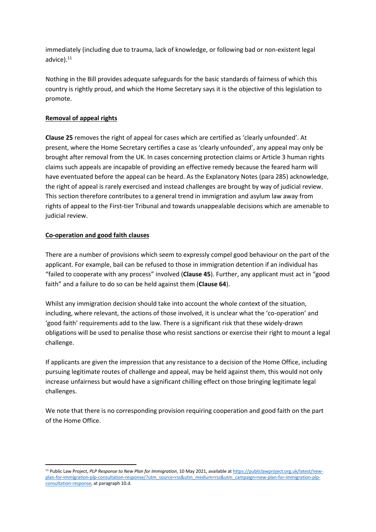immediately (including due to trauma, lack of knowledge, or following bad or non-existent legal advice).<sup>11</sup>

Nothing in the Bill provides adequate safeguards for the basic standards of fairness of which this country is rightly proud, and which the Home Secretary says it is the objective of this legislation to promote.

# **Removal of appeal rights**

**Clause 25** removes the right of appeal for cases which are certified as 'clearly unfounded'. At present, where the Home Secretary certifies a case as 'clearly unfounded', any appeal may only be brought after removal from the UK. In cases concerning protection claims or Article 3 human rights claims such appeals are incapable of providing an effective remedy because the feared harm will have eventuated before the appeal can be heard. As the Explanatory Notes (para 285) acknowledge, the right of appeal is rarely exercised and instead challenges are brought by way of judicial review. This section therefore contributes to a general trend in immigration and asylum law away from rights of appeal to the First-tier Tribunal and towards unappealable decisions which are amenable to judicial review.

# **Co-operation and good faith clauses**

There are a number of provisions which seem to expressly compel good behaviour on the part of the applicant. For example, bail can be refused to those in immigration detention if an individual has "failed to cooperate with any process" involved (**Clause 45**). Further, any applicant must act in "good faith" and a failure to do so can be held against them (**Clause 64**).

Whilst any immigration decision should take into account the whole context of the situation, including, where relevant, the actions of those involved, it is unclear what the 'co-operation' and 'good faith' requirements add to the law. There is a significant risk that these widely-drawn obligations will be used to penalise those who resist sanctions or exercise their right to mount a legal challenge.

If applicants are given the impression that any resistance to a decision of the Home Office, including pursuing legitimate routes of challenge and appeal, may be held against them, this would not only increase unfairness but would have a significant chilling effect on those bringing legitimate legal challenges.

We note that there is no corresponding provision requiring cooperation and good faith on the part of the Home Office.

<sup>11</sup> Public Law Project, *PLP Response to New Plan for Immigration*, 10 May 2021, available a[t https://publiclawproject.org.uk/latest/new](https://publiclawproject.org.uk/latest/new-plan-for-immigration-plp-consultation-response/?utm_source=rss&utm_medium=rss&utm_campaign=new-plan-for-immigration-plp-consultation-response)[plan-for-immigration-plp-consultation-response/?utm\\_source=rss&utm\\_medium=rss&utm\\_campaign=new-plan-for-immigration-plp](https://publiclawproject.org.uk/latest/new-plan-for-immigration-plp-consultation-response/?utm_source=rss&utm_medium=rss&utm_campaign=new-plan-for-immigration-plp-consultation-response)[consultation-response,](https://publiclawproject.org.uk/latest/new-plan-for-immigration-plp-consultation-response/?utm_source=rss&utm_medium=rss&utm_campaign=new-plan-for-immigration-plp-consultation-response) at paragraph 10.d.